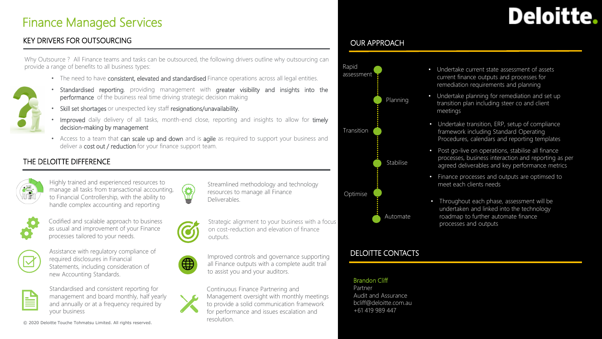## Finance Managed Services

### KEY DRIVERS FOR OUTSOURCING

Deloitte.

#### Why Outsource ? All Finance teams and tasks can be outsourced, the following drivers outline why outsourcing can provide a range of benefits to all business types:

- The need to have consistent, elevated and standardised Finance operations across all legal entities.
- Standardised reporting, providing management with greater visibility and insights into the performance of the business real time driving strategic decision making
- Skill set shortages or unexpected key staff resignations/unavailability.
- Improved daily delivery of all tasks, month-end close, reporting and insights to allow for timely decision-making by management
- Access to a team that can scale up and down and is agile as required to support your business and deliver a cost out / reduction for your finance support team.

#### THE DELOITTE DIFFERENCE

| $\blacksquare$ |
|----------------|
| 伊              |
|                |

Highly trained and experienced resources to manage all tasks from transactional accounting, to Financial Controllership, with the ability to handle complex accounting and reporting



Codified and scalable approach to business as usual and improvement of your Finance processes tailored to your needs.



Assistance with regulatory compliance of required disclosures in Financial Statements, including consideration of new Accounting Standards.



Standardised and consistent reporting for management and board monthly, half yearly and annually or at a frequency required by your business

© 2020 Deloitte Touche Tohmatsu Limited. All rights reserved. 1





Strategic alignment to your business with a focus on cost-reduction and elevation of finance outputs.

Streamlined methodology and technology

to assist you and your auditors.



Improved controls and governance supporting all Finance outputs with a complete audit trail

Continuous Finance Partnering and Management oversight with monthly meetings to provide a solid communication framework for performance and issues escalation and

#### OUR APPROACH



- Undertake current state assessment of assets current finance outputs and processes for remediation requirements and planning
- Undertake planning for remediation and set up transition plan including steer co and client meetings
- Undertake transition, ERP, setup of compliance framework including Standard Operating Procedures, calendars and reporting templates
- Post go-live on operations, stabilise all finance processes, business interaction and reporting as per agreed deliverables and key performance metrics
- Finance processes and outputs are optimsed to meet each clients needs
- Throughout each phase, assessment will be undertaken and linked into the technology roadmap to further automate finance processes and outputs

### DELOITTE CONTACTS

Brandon Cliff Partner

Audit and Assurance bcliff@deloitte.com.au +61 419 989 447